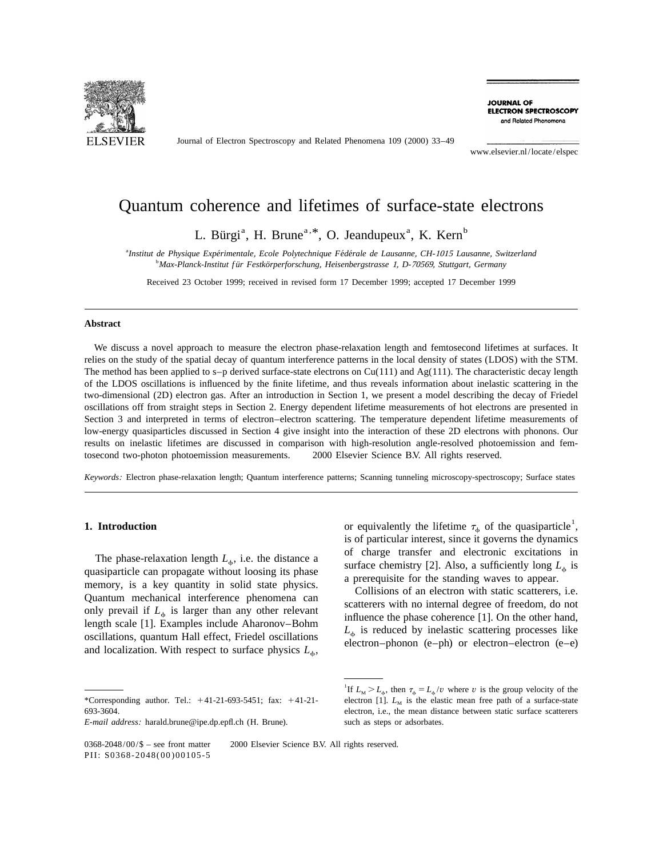

Journal of Electron Spectroscopy and Related Phenomena 109 (2000) 33–49

**JOURNAL OF ELECTRON SPECTROSCOPY** and Related Phenomena

www.elsevier.nl/locate/elspec

# Quantum coherence and lifetimes of surface-state electrons

L. Bürgi<sup>a</sup>, H. Brune<sup>a, \*</sup>, O. Jeandupeux<sup>a</sup>, K. Kern<sup>b</sup>

a *Institut de Physique Experimentale ´ ´´* , *Ecole Polytechnique Federale de Lausanne*, *CH*-<sup>1015</sup> *Lausanne*, *Switzerland* b *Max*-*Planck*-*Institut f ur Festkorperforschung ¨ ¨* , *Heisenbergstrasse* 1, *D*-70569, *Stuttgart*, *Germany*

Received 23 October 1999; received in revised form 17 December 1999; accepted 17 December 1999

### **Abstract**

We discuss a novel approach to measure the electron phase-relaxation length and femtosecond lifetimes at surfaces. It relies on the study of the spatial decay of quantum interference patterns in the local density of states (LDOS) with the STM. The method has been applied to s–p derived surface-state electrons on  $Cu(111)$  and  $Ag(111)$ . The characteristic decay length of the LDOS oscillations is influenced by the finite lifetime, and thus reveals information about inelastic scattering in the two-dimensional (2D) electron gas. After an introduction in Section 1, we present a model describing the decay of Friedel oscillations off from straight steps in Section 2. Energy dependent lifetime measurements of hot electrons are presented in Section 3 and interpreted in terms of electron–electron scattering. The temperature dependent lifetime measurements of low-energy quasiparticles discussed in Section 4 give insight into the interaction of these 2D electrons with phonons. Our results on inelastic lifetimes are discussed in comparison with high-resolution angle-resolved photoemission and femtosecond two-photon photoemission measurements.  $\oslash$  2000 Elsevier Science B.V. All rights reserved.

*Keywords*: Electron phase-relaxation length; Quantum interference patterns; Scanning tunneling microscopy-spectroscopy; Surface states

The phase-relaxation length  $L_{\phi}$ , i.e. the distance a<br>quasiparticle can propagate without loosing its phase<br>memory, is a key quantity in solid state physics.<br>Quantum mechanical interference phenomena can<br>only prevail i

**1. Introduction** or equivalently the lifetime  $\tau_{\phi}$  of the quasiparticle<sup>1</sup>, is of particular interest, since it governs the dynamics

*E*-*mail address*: harald.brune@ipe.dp.epfl.ch (H. Brune). such as steps or adsorbates.

<sup>&</sup>lt;sup>1</sup>If  $L_M > L_\phi$ , then  $\tau_\phi = L_\phi / v$  where *v* is the group velocity of the \*Corresponding author. Tel.:  $+41-21-693-5451$ ; fax:  $+41-21-$  electron [1].  $L<sub>M</sub>$  is the elastic mean free path of a surface-state 693-3604. electron, i.e., the mean distance between static surface scatterers

 $0368-2048/00\sqrt{\$}$  – see front matter  $\)$  2000 Elsevier Science B.V. All rights reserved. PII: S0368-2048(00)00105-5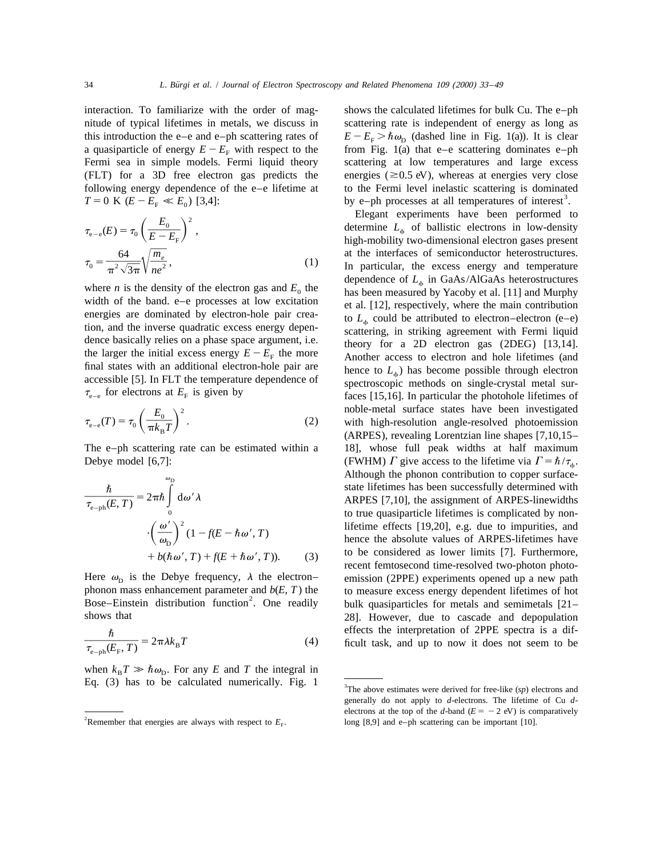interaction. To familiarize with the order of mag- shows the calculated lifetimes for bulk Cu. The e–ph

$$
\tau_{e-e}(E) = \tau_0 \left(\frac{E_0}{E - E_F}\right)^2,
$$
  
\n
$$
\tau_0 = \frac{64}{\pi^2 \sqrt{3\pi}} \sqrt{\frac{m_e}{ne^2}},
$$
\n(1)

$$
\tau_{e-e}(T) = \tau_0 \left(\frac{E_0}{\pi k_B T}\right)^2.
$$
 (2)

$$
\frac{\hbar}{\tau_{e-ph}(E,T)} = 2\pi\hbar \int_{0}^{\omega} d\omega' \lambda
$$

$$
\cdot \left(\frac{\omega'}{\omega_{D}}\right)^{2} (1 - f(E - \hbar \omega', T)) + b(\hbar \omega', T) + f(E + \hbar \omega', T)).
$$
(3)

$$
\frac{\hbar}{\tau_{\text{e-ph}}(E_{\text{F}},T)} = 2\pi\lambda k_{\text{B}}T\tag{4}
$$

when  $k_{\rm B}T \gg \hbar \omega_{\rm D}$ . For any *E* and *T* the integral in Eq.  $(3)$  has to be calculated numerically. Fig. 1

nitude of typical lifetimes in metals, we discuss in scattering rate is independent of energy as long as this introduction the e–e and e–ph scattering rates of  $E - E<sub>F</sub> > \hbar \omega_{\text{D}}$  (dashed line in Fig. 1(a)). It is clear a quasiparticle of energy  $E - E_F$  with respect to the from Fig. 1(a) that e-e scattering dominates e-ph Fermi sea in simple models. Fermi liquid theory scattering at low temperatures and large excess (FLT) for a 3D free electron gas predicts the energies ( $\approx$  0.5 eV), whereas at energies very close following energy dependence of the e–e lifetime at to the Fermi level inelastic scattering is dominated  $T = 0$  K ( $E - E_F \ll E_0$ ) [3,4]: by e–ph processes at all temperatures of interest<sup>3</sup>.

Elegant experiments have been performed to determine *L*<sub> $\phi$ </sub> of ballistic electrons in low-density high-mobility two-dimensional electron gases present at the interfaces of semiconductor heterostructures.<br>In particular, the excess energy and temperature dependence of  $L_{\phi}$  in GaAs/AlGaAs heterostructures where *n* is the density of the electron gas and  $E_0$  the<br>width of the band. e-e processes at low excitation<br>energies are dominated by electron-hole pair crea-<br>tion, and the inverse quadratic excess energy depen-<br>dence b  $\tau_{e-e}$  for electrons at  $E_F$  is given by faces [15,16]. In particular the photohole lifetimes of  $\tau_{e-e}(T) = \tau_0 \left(\frac{E_0}{\pi k_B T}\right)^2$ . (2) noble-metal surface states have been investigated with high-resolution angle-resolved photoemission (ARPES), revealing Lorentzian line shapes [7,10,15– The e–ph scattering rate can be estimated within a 18], whose full peak widths at half maximum Debye model [6,7]: (FWHM)  $\Gamma$  give access to the lifetime via  $\Gamma = \hbar / \tau_{\phi}$ . Although the phonon contribution to copper surfacestate lifetimes has been successfully determined with ARPES [7,10], the assignment of ARPES-linewidths to true quasiparticle lifetimes is complicated by nonlifetime effects [19,20], e.g. due to impurities, and hence the absolute values of ARPES-lifetimes have to be considered as lower limits [7]. Furthermore, recent femtosecond time-resolved two-photon photo-Here  $\omega_{\text{D}}$  is the Debye frequency,  $\lambda$  the electron–<br>phonon mass enhancement parameter and  $b(E, T)$  the to measure excess energy dependent lifetimes of hot phonon mass enhancement parameter and  $b(E, T)$  the to measure excess energy dependent lifetimes of hot Bose–Einstein distribution function<sup>2</sup>. One readily bulk quasiparticles for metals and semimetals [21– shows that 28]. However, due to cascade and depopulation effects the interpretation of 2PPE spectra is a difficult task, and up to now it does not seem to be

 $3$ The above estimates were derived for free-like  $(sp)$  electrons and generally do not apply to *d*-electrons. The lifetime of Cu *d*electrons at the top of the *d*-band ( $E = -2$  eV) is comparatively <sup>2</sup>Remember that energies are always with respect to  $E_F$ . long [8,9] and e–ph scattering can be important [10].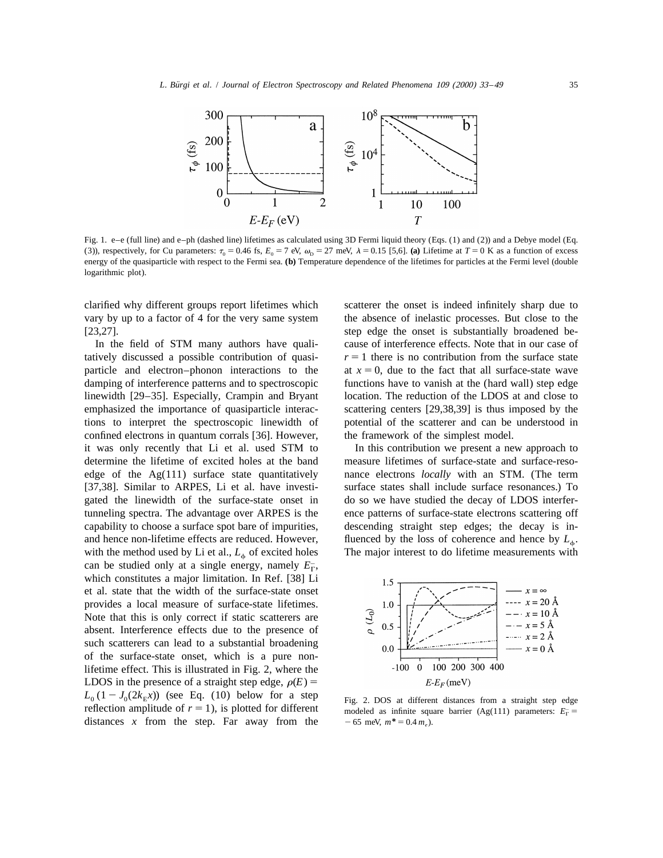

Fig. 1. e–e (full line) and e–ph (dashed line) lifetimes as calculated using 3D Fermi liquid theory (Eqs. (1) and (2)) and a Debye model (Eq. (3)), respectively, for Cu parameters:  $\tau_0 = 0.46$  fs,  $E_0 = 7$  eV,  $\omega_{\rm p} = 27$  meV,  $\lambda = 0.15$  [5,6]. (a) Lifetime at  $T = 0$  K as a function of excess energy of the quasiparticle with respect to the Fermi sea. **(b)** Temperature dependence of the lifetimes for particles at the Fermi level (double logarithmic plot).

clarified why different groups report lifetimes which scatterer the onset is indeed infinitely sharp due to [23,27]. step edge the onset is substantially broadened be-

tatively discussed a possible contribution of quasi-  $r = 1$  there is no contribution from the surface state particle and electron–phonon interactions to the at  $x = 0$ , due to the fact that all surface-state wave damping of interference patterns and to spectroscopic functions have to vanish at the (hard wall) step edge linewidth [29–35]. Especially, Crampin and Bryant location. The reduction of the LDOS at and close to emphasized the importance of quasiparticle interac- scattering centers [29,38,39] is thus imposed by the tions to interpret the spectroscopic linewidth of potential of the scatterer and can be understood in confined electrons in quantum corrals [36]. However, the framework of the simplest model. it was only recently that Li et al. used STM to In this contribution we present a new approach to determine the lifetime of excited holes at the band measure lifetimes of surface-state and surface-resoedge of the Ag(111) surface state quantitatively nance electrons *locally* with an STM. (The term [37,38]. Similar to ARPES, Li et al. have investi- surface states shall include surface resonances.) To gated the linewidth of the surface-state onset in do so we have studied the decay of LDOS interfertunneling spectra. The advantage over ARPES is the ence patterns of surface-state electrons scattering off capability to choose a surface spot bare of impurities, descending straight step edges; the decay is inand hence non-lifetime effects are reduced. However, fluenced by the loss of coherence and hence by  $L_{\phi}$ . with the method used by Li et al.,  $L_{\phi}$  of excited holes The major interest to do lifetime measurements with with the method used by Li et al.,  $L_{\phi}$  of excited holes can be studied only at a single energy, namely  $E_{\Gamma}$ , which constitutes a major limitation. In Ref. [38] Li et al. state that the width of the surface-state onset provides a local measure of surface-state lifetimes. Note that this is only correct if static scatterers are absent. Interference effects due to the presence of such scatterers can lead to a substantial broadening of the surface-state onset, which is a pure nonlifetime effect. This is illustrated in Fig. 2, where the LDOS in the presence of a straight step edge,  $\rho(E)$  =  $L_0$   $(1 - J_0(2k_E x))$  (see Eq. (10) below for a step Fig. 2. DOS at different distances from a straight step edge reflection amplitude of  $r = 1$ ), is plotted for different distances *x* from the step. Far away from the  $-65$  meV,  $m^* = 0.4 m_e$ ).

vary by up to a factor of 4 for the very same system the absence of inelastic processes. But close to the In the field of STM many authors have quali-<br>cause of interference effects. Note that in our case of



modeled as infinite square barrier (Ag(111) parameters:  $E_{\Gamma}$  =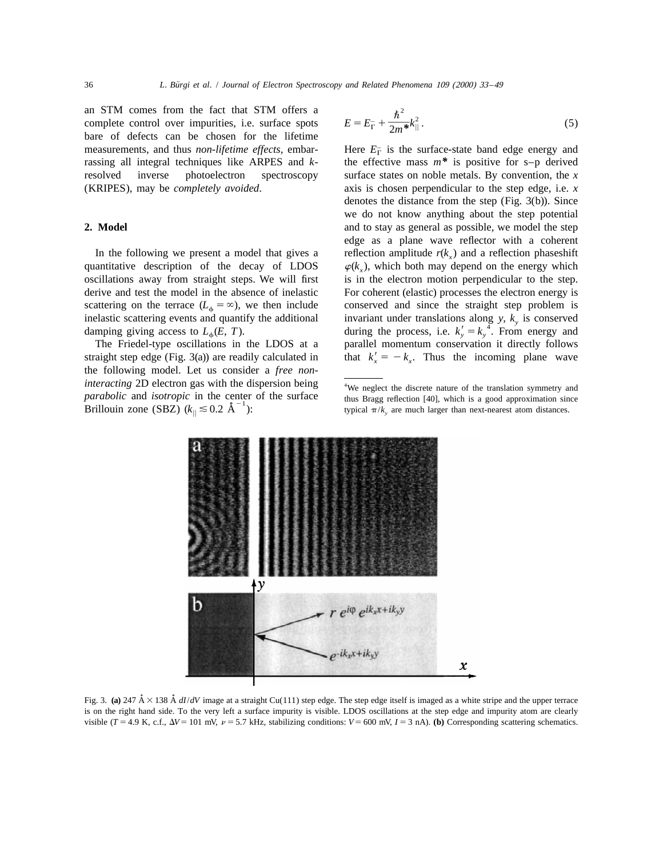an STM comes from the fact that STM offers a complete control over impurities, i.e. surface spots bare of defects can be chosen for the lifetime measurements, and thus *non-lifetime effects*, embar-<br>
Here  $E_{\Gamma}^-$  is the surface-state band edge energy and<br>
rassing all integral techniques like ARPES and  $k$ -<br>
the effective mass  $m^*$  is positive for s-p derived

quantitative description of the decay of LDOS

the following model. Let us consider a *free noninteracting* 2D electron gas with the dispersion being *parabolic* and *isotropic* in the center of the surface thus Bragg reflection [40], which is a good approximation since 21.1 **Brillouin** zone (SBZ)  $(k_{\parallel} \le 0.2 \text{ Å}^{-1})$ : Brillouin zone (SBZ)  $(k_{\parallel} \le 0.2 \text{ Å}^{-1})$ :

$$
E = E_{\Gamma}^- + \frac{\hbar^2}{2m^*} k_{\parallel}^2.
$$
 (5)

the effective mass  $m^*$  is positive for s–p derived resolved inverse photoelectron spectroscopy surface states on noble metals. By convention, the *x* (KRIPES), may be *completely avoided*. axis is chosen perpendicular to the step edge, i.e. *x* denotes the distance from the step (Fig. 3(b)). Since we do not know anything about the step potential **2. Model 2. Model and to stay as general as possible, we model the step** edge as a plane wave reflector with a coherent In the following we present a model that gives a reflection amplitude  $r(k_x)$  and a reflection phaseshift *antitative* description of the decay of LDOS  $\varphi(k_x)$ , which both may depend on the energy which oscillations away from straight steps. We will first is in the electron motion perpendicular to the step. derive and test the model in the absence of inelastic For coherent (elastic) processes the electron energy is scattering on the terrace  $(L_{\phi} = \infty)$ , we then include conserved and since the straight step problem is inelastic scattering events and quantify the additional invariant under translations along y,  $k_{\text{v}}$  is conserved inelastic scattering events and quantify the additional invariant under translations along y,  $k_y$  is conserved<br>damping giving access to  $L_{\phi}(E, T)$ . during the process, i.e.  $k'_y = k_y^4$ . From energy and The Friedel-type oscillations in the LDOS at a parallel momentum conservation it directly follows straight step edge (Fig. 3(a)) are readily calculated in that  $k'_{x} = -k_{x}$ . Thus the incoming plane wave

<sup>&</sup>lt;sup>4</sup>We neglect the discrete nature of the translation symmetry and



Fig. 3. (a) 247  $\AA \times 138 \AA dI/dV$  image at a straight Cu(111) step edge. The step edge itself is imaged as a white stripe and the upper terrace is on the right hand side. To the very left a surface impurity is visible. LDOS oscillations at the step edge and impurity atom are clearly visible ( $T = 4.9$  K, c.f.,  $\Delta V = 101$  mV,  $\nu = 5.7$  kHz, stabilizing conditions:  $V = 600$  mV,  $I = 3$  nA). (b) Corresponding scattering schematics.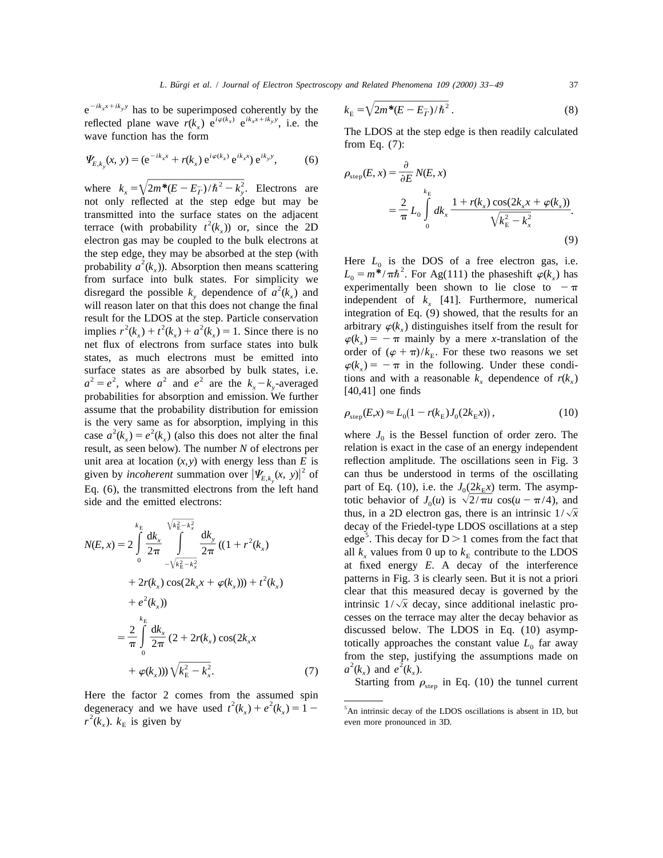$e^{-ik_xx+ik_yy}$  has to be superimposed coherently by the  $k_E = \sqrt{2m^*(E - E_T)/\hbar^2}$ . (8)<br>reflected plane wave  $r(k_x) e^{i\varphi(k_x)} e^{ik_xx+ik_yy}$ , i.e. the The LDOS at the step edge is then readily calculated<br>wave function has the form

$$
\Psi_{E,k_y}(x, y) = (e^{-ik_x x} + r(k_x) e^{i\varphi(k_x)} e^{ik_x x}) e^{ik_y y}, \qquad (6)
$$

where  $k_x = \sqrt{2m^*(E - E_T^-)/\hbar^2 - k_y^2}$ . Electrons are not only reflected at the step edge but may be transmitted into the surface states on the adjacent<br>terrace (with probability  $t^2(k)$ ) or, since the 2D electron gas may be coupled to the bulk electrons at the step edge, they may be absorbed at the step (with<br>probability  $a^2(k_x)$ ). Absorption then means scattering<br>from surface into bulk states. For simplicity we<br>disregard the possible  $k_y$  dependence of  $a^2(k_x)$  and<br>will re will reason later on that this does not change the final<br>result for the LDOS at the step. Particle conservation<br>implies  $r^2(k_x) + t^2(k_x) + a^2(k_x) = 1$ . Since there is no<br>not flux of electrons from arrival explicitly  $\varphi(k_x) = -\$ net flux of electrons from surface states into bulk states, as much electrons must be emitted into order of  $(\varphi + \pi)/k_E$ . For these two reasons we set surface states as are absorbed by bulk states, i.e.  $\varphi(k_x) = -\pi$  in the following. Under these condi-<br> $\varphi(k_x) = -\pi$  in the following. Under these condi-<br> $\varphi(k_x) = -\pi$  in the following. Under these condi-<br> $\varphi(k_x) = -\pi$  in the  $a^2 = e^2$ , where  $a^2$  and  $e^2$  are the  $k_x - k_y$ -averaged<br>probabilities for absorption and emission. We further [40,41] one finds assume that the probability distribution for emission<br>is the very same as for absorption, implying in this<br>case  $a^2(k_x) = e^2(k_x)$  (also this does not alter the final<br>result, as seen below). The number N of electrons per rel unit area at location  $(x, y)$  with energy less than E is<br>given by *incoherent* summation over  $|\Psi_{E,k_y}(x, y)|^2$  of can thus be understood in terms of the oscillating<br>Eq. (6), the transmitted electrons from the left hand part

$$
N(E, x) = 2 \int_{0}^{k_{\rm E}} \frac{dk_x}{2\pi} \int_{-\sqrt{k_{\rm E}^2 - k_x^2}}^{\sqrt{k_{\rm E}^2 - k_x^2}} \frac{dk_y}{2\pi} ((1 + r^2(k_x)) \text{ edge}^5) \text{ all } k_x
$$
  
+ 2r(k\_x) cos(2k\_x x + \varphi(k\_x))) + t<sup>2</sup>(k\_x)   
+ e<sup>2</sup>(k\_x))  
=  $\frac{2}{\pi} \int_{0}^{k_{\rm E}} \frac{dk_x}{2\pi} (2 + 2r(k_x) cos(2k_x x \text{ distance}^5)) \sqrt{k_{\rm E}^2 - k_x^2}$ .  
(7)  $a^2(k_x)$ 

Here the factor 2 comes from the assumed spin<br>degeneracy and we have used  $t^2(k_x) + e^2(k_x) = 1 -$ <br> $r^2(k_x)$ .  $k_E$  is given by  $r^2(k_x)$ .  $k_E$  is given by

$$
k_{\rm E} = \sqrt{2m^*(E - E_T^-)/\hbar^2} \,. \tag{8}
$$

from Eq. (7):

$$
\rho_{\text{step}}(E, x) = \frac{\partial}{\partial E} N(E, x)
$$
  
=  $\frac{2}{\pi} L_0 \int_0^{k_E} dk_x \frac{1 + r(k_x) \cos(2k_x x + \varphi(k_x))}{\sqrt{k_E^2 - k_x^2}}$ . (9)

$$
\rho_{\text{step}}(E, x) \approx L_0 (1 - r(k_{\text{E}}) J_0(2k_{\text{E}} x)), \tag{10}
$$

relation is exact in the case of an energy independent side and the emitted electrons: totic behavior of  $J_0(u)$  is  $\sqrt{2/\pi u} \cos(u - \pi/4)$ , and thus, in a 2D electron gas, there is an intrinsic  $1/\sqrt{x}$ decay of the Friedel-type LDOS oscillations at a step  $N(E, x) = 2 \int_{0}^{1} \frac{dk_{x}}{2\pi} \int_{-\sqrt{k_{E}^{2}-k_{x}^{2}}}^{\infty} \frac{dk_{y}}{2\pi} ((1 + r^{2}(k_{x}))$ <br>  $\begin{aligned}\n\text{dege}^{5} \text{ This decay for } D > 1 \text{ comes from the fact that} \\
\text{all } k_{x} \text{ values from 0 up to } k_{E} \text{ contribute to the LDOS at fixed energy } E. \text{ A decay of the interference}\n\end{aligned}$ patterns in Fig. 3 is clearly seen. But it is not a priori<br>clear that this measured decay is governed by the<br>intrinsic  $1/\sqrt{x}$  decay, since additional inelastic processes on the terrace may alter the decay behavior as  $=\frac{2}{\pi}\int_{0}^{k_{\rm E}}\frac{\mathrm{d}k_{x}}{2\pi}(2+2r(k_{x})\cos(2k_{x}x)$ <br>  $+\varphi(k_{x}))\sqrt{k_{\rm E}^{2}-k_{x}^{2}}$ . (7)  $a^{2}(k_{x})$  and  $e^{2}(k_{x})$ . The LDOS in Eq. (10) asymptotically approaches the constant value  $L_{0}$  far away<br>
from the step, justif

Starting from  $\rho_{\text{sten}}$  in Eq. (10) the tunnel current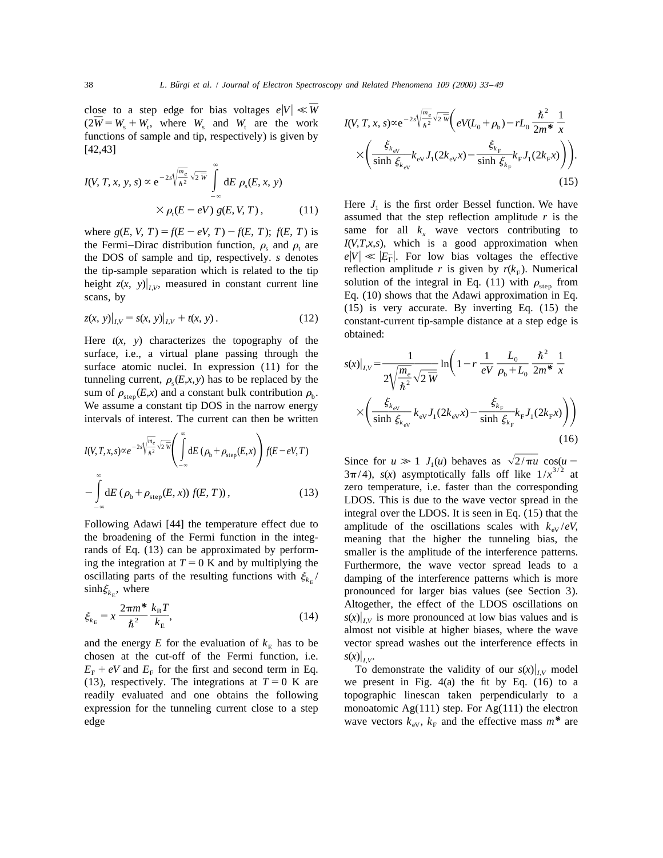close to a step edge for bias voltages  $e|V| \ll \overline{W}$  $\frac{1}{W} = W + W$  where W and W are the work  $\frac{1}{W} = W + W$  where W and W are the work  $\frac{1}{W} = W + W$  $(2\overline{W} = W_s + W_t$ , where  $W_s$  and  $W_t$  are the work functions of sample and tip, respectively) is given by

$$
I(V, T, x, y, s) \propto e^{-2s\sqrt{\frac{m_e}{\hbar^2}}\sqrt{2\,\overline{w}}}\int_{-\infty}^{\infty} dE \,\rho_s(E, x, y) \times \rho_t(E - eV) \,g(E, V, T), \tag{11}
$$

the Fermi–Dirac distribution function,  $\rho_s$  and  $\rho_t$  are  $I(V,T,x,s)$ , which is a good approximation when<br>the DOS of sample and tip, respectively. *s* denotes  $e|V| \ll |E_T|$ . For low bias voltages the effective the tip-sample separation which is related to the tip-reflection amplitude r is given by  $r(k_F)$ . Numerical height  $z(x, y)|_{LV}$ , measured in constant current line solution of the integral in Eq. (11) with  $\rho_{\text{step}}$  from scans, by Eq. (10) shows that the Adawi approximation in Eq.

$$
z(x, y)|_{I,V} = s(x, y)|_{I,V} + t(x, y).
$$
 (12)

Here  $t(x, y)$  characterizes the topography of the obtained: surface, i.e., a virtual plane passing through the<br>surface atomic nuclei. In expression (11) for the<br>tunneling current,  $\rho_s(E,x,y)$  has to be replaced by the<br>sum of a (Ex) and a constant hull contribution of tunneling current,  $\rho_s(E, x, y)$  has to be replaced by the sum of  $\rho_{\text{step}}(E, x)$  and a constant bulk contribution  $\rho_b$ . We assume a constant tip DOS in the narrow energy intervals of interest. The current can then be written

$$
I(V,T,x,s) \propto e^{-2s\sqrt{\frac{m_e}{\hbar^2}}\sqrt{2\,\overline{W}}}\left(\int\limits_{-\infty}^{\infty} dE\left(\rho_b + \rho_{\text{step}}(E,x)\right) f(E - eV,T)\right)
$$

$$
-\int\limits_{-\infty}^{\infty} dE\left(\rho_b + \rho_{\text{step}}(E,x)\right) f(E,T)\right),\tag{13}
$$

$$
\xi_{k_{\rm E}} = x \frac{2\pi m^*}{\hbar^2} \frac{k_{\rm B}T}{k_{\rm E}},\tag{14}
$$

chosen at the cut-off of the Fermi function, i.e.  $s(x)|_{I,V}$ .<br>  $E_F + eV$  and  $E_F$  for the first and second term in Eq. To demonstrate the validity of our  $s(x)|_{IV}$  model  $E_{\rm F}$  + eV and  $E_{\rm F}$  for the first and second term in Eq. edge wave vectors  $k_{\text{eV}}$ ,  $k_{\text{F}}$  and the effective mass  $m^*$  are

close to a step edge for bias voltages 
$$
e|V| \ll \overline{W}
$$
  
\n $(2\overline{W} = W_s + W_t$ , where  $W_s$  and  $W_t$  are the work  
\nfunctions of sample and tip, respectively) is given by  
\n
$$
K\left(\frac{\xi_{k_{\text{eV}}}}{\sinh \xi_{k_{\text{eV}}}} k_{\text{eV}} J_1(2k_{\text{eV}} x) - \frac{\xi_{k_{\text{F}}}}{\sinh \xi_{k_{\text{F}}}} k_{\text{F}} J_1(2k_{\text{F}} x)\right).
$$
\n
$$
I(V, T, x, y, s) \propto e^{-2s\sqrt{\frac{m_e}{\hbar^2}} \sqrt{2 \overline{w}}} \int_{0}^{\infty} dE \rho_s(E, x, y)
$$
\n(15)

Here  $J_1$  is the first order Bessel function. We have assumed that the step reflection amplitude *r* is the where  $g(E, V, T) = f(E - eV, T) - f(E, T)$ ;  $f(E, T)$  is same for all  $k_x$  wave vectors contributing to (15) is very accurate. By inverting Eq. (15) the  $z$  *z*(*x*) *t*)  $z$  *z*(*x*)  $x$  *i*, *z*(*x*)  $y$  *i*, *z*(*x*)  $y$  *i*, *z*(*x*)  $y$  *i*, *z*(*x*)  $y$  *i*, *z*(*x*)  $y$  *i*, *z*(*x*)  $y$  *i*, *z*(*x*)  $y$  *i*, *z*(*x*)  $y$  *i*, *z*(*x*)  $y$  *i*, *z*(*x*)  $y$  *i*, *z* 

$$
s(x)|_{I,V} = \frac{1}{2\sqrt{\frac{m_e}{\hbar^2}}\sqrt{2\ \overline{W}}} \ln\left(1 - r\ \frac{1}{eV}\ \frac{L_0}{\rho_b + L_0}\ \frac{\hbar^2}{2m^*}\ \frac{1}{x}\n\times\left(\frac{\xi_{k_{\text{eV}}}}{\sinh \xi_{k_{\text{eV}}}} k_{\text{eV}} J_1(2k_{\text{eV}} x) - \frac{\xi_{k_{\text{F}}}}{\sinh \xi_{k_{\text{F}}}} k_{\text{F}} J_1(2k_{\text{F}} x)\right)\right)
$$
\n(16)

Since for  $u \gg 1$   $J_1(u)$  behaves as  $\sqrt{2/\pi u} \cos(u - 3\pi/4)$ ,  $s(x)$  asymptotically falls off like  $1/x^{3/2}$  at zero temperature, i.e. faster than the corresponding LDOS. This is due to the wave vector spread in the integral over the LDOS. It is seen in Eq. (15) that the Following Adawi [44] the temperature effect due to amplitude of the oscillations scales with  $k_{ev}/eV$ , the broadening of the Fermi function in the integ-<br>meaning that the higher the tunneling bias, the meaning that the higher the tunneling bias, the rands of Eq. (13) can be approximated by perform-<br>ing the amplitude of the interference patterns.<br>ing the integration at  $T = 0$  K and by multiplying the<br>Furthermore, the wave vector spread leads to a Furthermore, the wave vector spread leads to a oscillating parts of the resulting functions with  $\xi_{k_{\rm E}}$  / damping of the interference patterns which is more sinh $\xi_{k_{\rm E}}$ , where pronounced for larger bias values (see Section 3). pronounced for larger bias values (see Section 3). Altogether, the effect of the LDOS oscillations on  $s(x)|_{I,V}$  is more pronounced at low bias values and is almost not visible at higher biases, where the wave and the energy *E* for the evaluation of  $k<sub>E</sub>$  has to be vector spread washes out the interference effects in

(13), respectively. The integrations at  $T = 0$  K are we present in Fig. 4(a) the fit by Eq. (16) to a readily evaluated and one obtains the following topographic linescan taken perpendicularly to a expression for the tunneling current close to a step monoatomic  $Ag(111)$  step. For  $Ag(111)$  the electron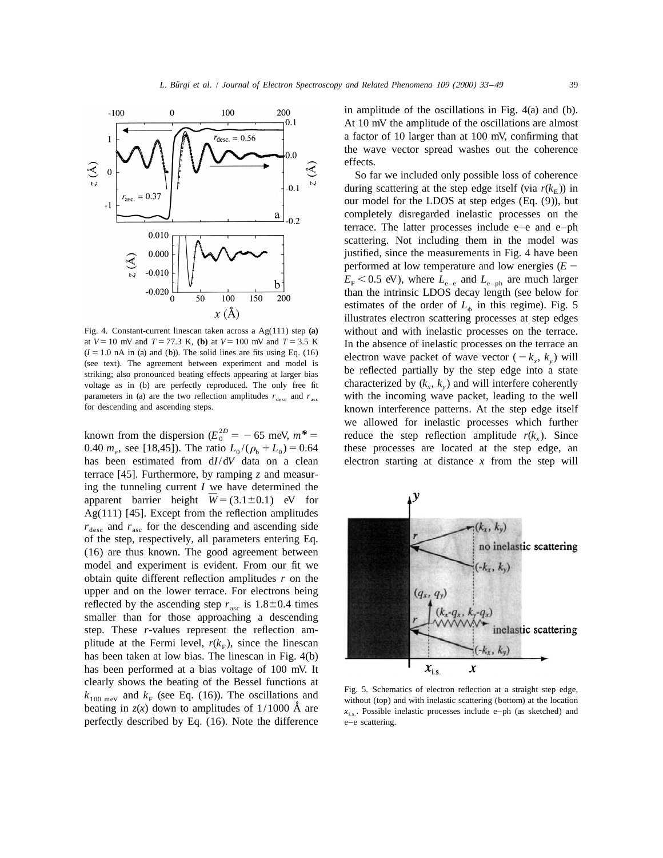

at  $V = 10$  mV and  $T = 77.3$  K, (b) at  $V = 100$  mV and  $T = 3.5$  K<br>  $(I = 1.0$  nA in (a) and (b)). The solid lines are fits using Eq. (16)<br>
(see text). The agreement between experiment and model is<br>
striking; also pronounced voltage as in (b) are perfectly reproduced. The only free fit characterized by  $(k_x, k_y)$  and will interfere coherently parameters in (a) are the two reflection amplitudes  $r_{\text{desc}}$  and  $r_{\text{asc}}$  with the incoming wave pack parameters in (a) are the two reflection amplitudes  $r_{\text{desc}}$  and  $r_{\text{asc}}$  for descending and ascending steps.

0.40  $m_e$ , see [18,45]). The ratio  $L_0/(\rho_h + L_0) = 0.64$  these processes are located at the step edge, an has been estimated from d*I*/d*V* data on a clean electron starting at distance *x* from the step will terrace [45]. Furthermore, by ramping *z* and measuring the tunneling current *I* we have determined the apparent barrier height  $W = (3.1 \pm 0.1)$  eV for Ag(111) [45]. Except from the reflection amplitudes  $r_{\text{desc}}$  and  $r_{\text{asc}}$  for the descending and ascending side of the step, respectively, all parameters entering Eq. (16) are thus known. The good agreement between model and experiment is evident. From our fit we obtain quite different reflection amplitudes *r* on the upper and on the lower terrace. For electrons being reflected by the ascending step  $r_{\text{asc}}$  is 1.8 $\pm$ 0.4 times smaller than for those approaching a descending step. These *r*-values represent the reflection amplitude at the Fermi level,  $r(k<sub>F</sub>)$ , since the linescan has been taken at low bias. The linescan in Fig. 4(b) has been performed at a bias voltage of 100 mV. It clearly shows the beating of the Bessel functions at<br>  $k_{100 \text{ meV}}$  and  $k_F$  (see Eq. (16)). The oscillations and<br>  $k_{100 \text{ meV}}$  and  $k_F$  (see Eq. (16)). The oscillations and<br>
without (top) and with inelastic scattering ( beating in  $z(x)$  down to amplitudes of  $1/1000$  Å are  $x_{i,s}$ . Possible inelastic processes include e–ph (as sketched) and perfectly described by Eq.  $(16)$ . Note the difference  $e-e$  scattering.

in amplitude of the oscillations in Fig. 4(a) and (b). At 10 mV the amplitude of the oscillations are almost a factor of 10 larger than at 100 mV, confirming that the wave vector spread washes out the coherence effects.

So far we included only possible loss of coherence during scattering at the step edge itself (via  $r(k<sub>E</sub>)$ ) in our model for the LDOS at step edges (Eq. (9)), but completely disregarded inelastic processes on the terrace. The latter processes include e–e and e–ph scattering. Not including them in the model was justified, since the measurements in Fig. 4 have been performed at low temperature and low energies  $(E E_{\rm F}$  < 0.5 eV), where  $L_{\rm e-e}$  and  $L_{\rm e-ph}$  are much larger than the intrinsic LDOS decay length (see below for estimates of the order of  $L<sub>4</sub>$  in this regime). Fig. 5 illustrates electron scattering processes at step edges Fig. 4. Constant-current linescan taken across a Ag(111) step (a) without and with inelastic processes on the terrace.<br>at  $V = 10$  mV and  $T = 77.3$  K, (b) at  $V = 100$  mV and  $T = 3.5$  K. In the absence of inelastic processe known interference patterns. At the step edge itself 2*D* known from the dispersion ( $E_0^{2D} = -65$  meV,  $m^* =$  reduce the step reflection amplitude  $r(k_x)$ . Since

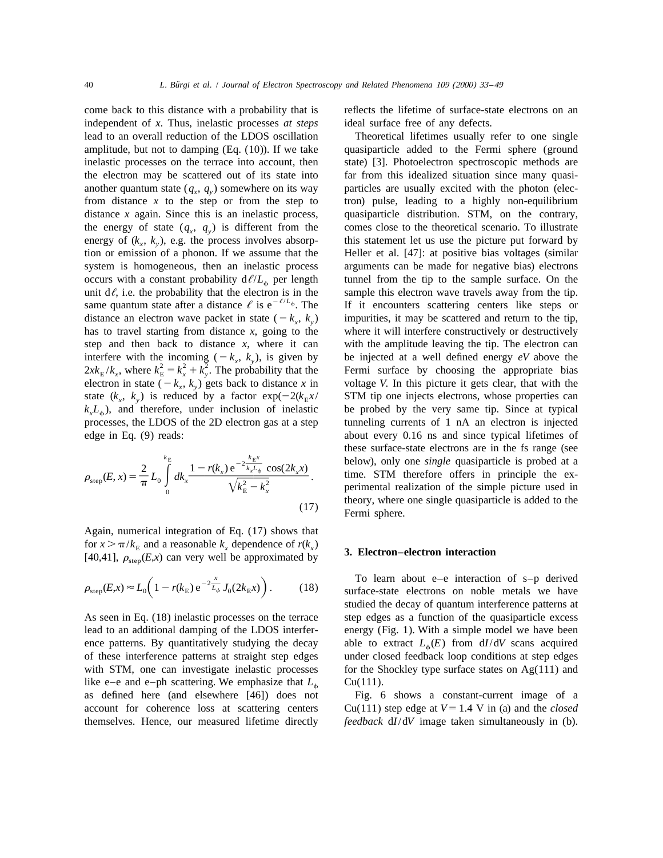independent of *x*. Thus, inelastic processes *at steps* ideal surface free of any defects. lead to an overall reduction of the LDOS oscillation Theoretical lifetimes usually refer to one single amplitude, but not to damping (Eq. (10)). If we take quasiparticle added to the Fermi sphere (ground inelastic processes on the terrace into account, then state) [3]. Photoelectron spectroscopic methods are the electron may be scattered out of its state into far from this idealized situation since many quasianother quantum state  $(q_x, q_y)$  somewhere on its way particles are usually excited with the photon (elecfrom distance  $x$  to the step or from the step to tron) pulse, leading to a highly non-equilibrium distance *x* again. Since this is an inelastic process, quasiparticle distribution. STM, on the contrary, the energy of state  $(q_x, q_y)$  is different from the comes close to the theoretical scenario. To illustrate energy of  $(k_x, k_y)$ , e.g. the process involves absorp-<br>this statement let us use the picture put forward by<br>ion or emission of a phonon. If we assume that the Heller et al. [47]: at positive bias voltages (similar system is homogeneous, then an inelastic process arguments can be made for negative bias) electrons occurs with a constant probability  $d\ell/L_{\phi}$  per length tunnel from the tip to the sample surface. On the unit  $d\ell$ , i.e. the probability that the electron is in the sample this electron wave travels away from the tip. unit d $\ell$ , i.e. the probability that the electron is in the sample this electron wave travels away from the tip.<br>
2, same quantum state after a distance  $\ell$  is e<sup>- $\ell/L_{\phi}$ </sup>. The If it encounters scattering centers like distance an electron wave packet in state  $(-k_x, k_y)$  impurities, it may be scattered and return to the tip, has to travel starting from distance x, going to the where it will interfere constructively or destructively step and then back to distance  $x$ , where it can with the amplitude leaving the tip. The electron can interfere with the incoming  $(-k_x, k_y)$ , is given by be injected at a well defined energy eV above the  $2x k_E/k_x$ , where  $k_E^2 = k_x^2 + k_y^2$ . The probability that the Fermi surface by choosing the appropriate bias electron in state (2 *k* , *k* ) gets back to distance *x* in voltage *V*. In this picture it gets clear, that with the *x y* state  $(k_x, k_y)$  is reduced by a factor  $exp(-2(k_E x / \text{STM tip one injects electrons, whose properties can  $k_x L_x)$ , and therefore, under inclusion of inelastic be probed by the very same tip. Since at typical$  $k_{x}L_{\phi}$ ), and therefore, under inclusion of inelastic processes, the LDOS of the 2D electron gas at a step tunneling currents of 1 nA an electron is injected edge in Eq. (9) reads: about every 0.16 ns and since typical lifetimes of

$$
\rho_{\text{step}}(E, x) = \frac{2}{\pi} L_0 \int_0^{k_E} dk_x \frac{1 - r(k_x) e^{-2 \frac{k_E x}{k_x L_{\phi}}} \cos(2k_x x)}{\sqrt{k_E^2 - k_x^2}}.
$$
\n(17)

Again, numerical integration of Eq. (17) shows that for  $x > \pi/k_E$  and a reasonable  $k_x$  dependence of  $r(k_x)$  **3. Electron–electron interaction** [40,41],  $\rho_{\text{sten}}(E,x)$  can very well be approximated by **3. Electron–electron interaction** 

$$
\rho_{\text{step}}(E, x) \approx L_0 \bigg( 1 - r(k_{\text{E}}) e^{-2 \frac{x}{L_{\phi}}} J_0(2k_{\text{E}} x) \bigg). \tag{18}
$$

lead to an additional damping of the LDOS interfer- energy (Fig. 1). With a simple model we have been ence patterns. By quantitatively studying the decay able to extract  $L_{\phi}(E)$  from  $dI/dV$  scans acquired of these interference patterns at straight step edges under closed feedback loop conditions at step edges like e–e and e–ph scattering. We emphasize that  $L_{\phi}$  Cu(111). as defined here (and elsewhere [46]) does not Fig. 6 shows a constant-current image of a

come back to this distance with a probability that is reflects the lifetime of surface-state electrons on an

Heller et al. [47]: at positive bias voltages (similar where it will interfere constructively or destructively these surface-state electrons are in the fs range (see<br>  $\rho_{\text{step}}(E, x) = \frac{2}{\pi} L_0 \int_0^{k_E} dk_x \frac{1 - r(k_x) e^{-2\frac{k_E x}{k_x L_0}} \cos(2k_x x)}{\sqrt{k_E^2 - k_x^2}}$ .<br>  $\sqrt{k_E^2 - k_x^2}$ theory, where one single quasiparticle is added to the Fermi sphere.

To learn about e–e interaction of s–p derived surface-state electrons on noble metals we have studied the decay of quantum interference patterns at As seen in Eq. (18) inelastic processes on the terrace step edges as a function of the quasiparticle excess under closed feedback loop conditions at step edges with STM, one can investigate inelastic processes for the Shockley type surface states on Ag(111) and

account for coherence loss at scattering centers  $Cu(111)$  step edge at  $V = 1.4$  V in (a) and the *closed* themselves. Hence, our measured lifetime directly *feedback* d*I*/d*V* image taken simultaneously in (b).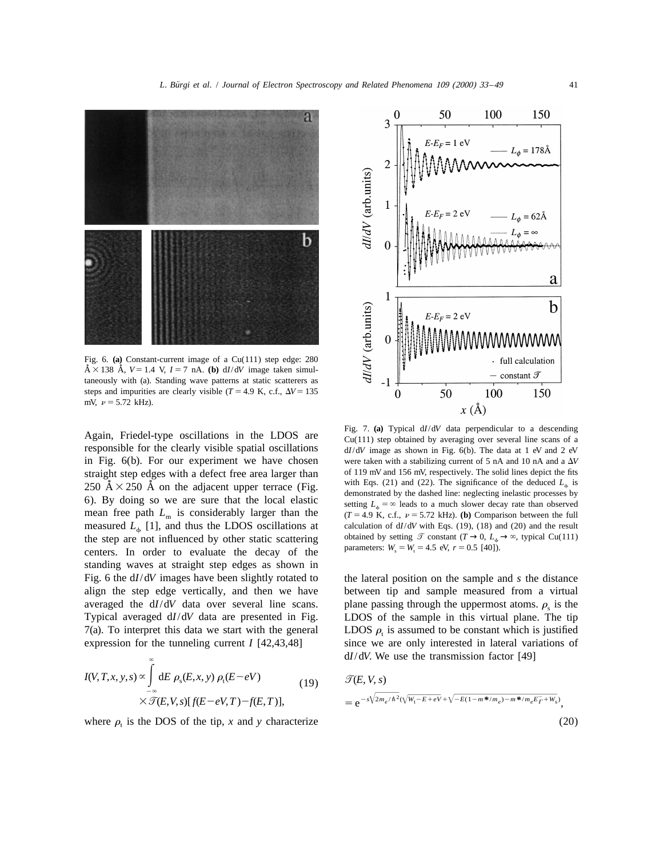



Fig. 6. **(a)** Constant-current image of a Cu(111) step edge: 280  $\tilde{A} \times 138$   $\tilde{A}$ ,  $V = 1.4$  V,  $I = 7$  nA. (b) d*I*/d*V* image taken simultaneously with (a). Standing wave patterns at static scatterers as steps and impurities are clearly visible ( $T = 4.9$  K, c.f.,  $\Delta V = 135$ mV,  $\nu = 5.72$  kHz).

responsible for the clearly visible spatial oscillations d*I*/d*V* image as shown in Fig. 6(b). The data at 1 eV and 2 eV in Fig.  $6(b)$ . For our experiment we have chosen were taken with a stabilizing current of 5 nA and 10 nA and a  $\Delta V$ straight step edges with a defect free area larger than of 119 mV and 156 mV, respectively. The solid lines depict the fits  $250 \text{ Å} \times 250 \text{ Å}$  on the adiacent upper terrace (Fig. with Eqs. (21) and (22). The significan 250  $\AA \times 250$   $\AA$  on the adjacent upper terrace (Fig.  $\frac{\text{with } \text{Eqs. (21) and (22). The significance of the deduced } L_{\phi} \text{ is } 250$   $\AA$ 6). By doing so we are sure that the local elastic setting  $L<sub>a</sub> = \infty$  leads to a much slower decay rate than observed mean free path  $L_m$  is considerably larger than the  $(T=4.9 \text{ K}, \text{c.f., } \nu = 5.72 \text{ kHz})$ . (b) Comparison between the full measured  $L_{\phi}$  [1], and thus the LDOS oscillations at calculation of d*I*/d*V* with Eqs. (19), (18) and (20) and the result the step are not influenced by other static scattering obtained by setting  $\mathcal{T}$  constant  $(T \$ the step are not influenced by other static scattering obtained by setting  $\mathcal{I}$  constant ( $T \to 0$ ,  $L_{\phi}$ )<br>contars. In order to ovaluate the doesn of the parameters:  $W_s = W_s = 4.5$  eV,  $r = 0.5$  [40]). centers. In order to evaluate the decay of the standing waves at straight step edges as shown in Fig. 6 the d*I*/d*V* images have been slightly rotated to the lateral position on the sample and *s* the distance align the step edge vertically, and then we have between tip and sample measured from a virtual averaged the  $dI/dV$  data over several line scans. plane passing through the uppermost atoms.  $\rho_s$  is the Typical averaged  $dI/dV$  data are presented in Fig. LDOS of the sample in this virtual plane. The tip 7(a). To interpret this data we start with the general LDOS  $\rho_t$  is assumed to be constant which is justified expression for the tunneling current *I* [42,43,48] since we are only interested in lateral variations of

$$
I(V,T,x,y,s) \propto \int_{-\infty}^{\infty} dE \rho_s(E,x,y) \rho_t(E-eV)
$$
\n
$$
\times \mathcal{T}(E,V,s)[f(E-eV,T)-f(E,T)], \qquad (19) \qquad \mathcal{T}(E,V,s)
$$
\n
$$
= e^{-s\sqrt{2m_e/\hbar^2}(\sqrt{W_t-E}+eV+\sqrt{-E(1-m^*/m_e)-m^*/m_eE_T+W_s})},
$$

where  $\rho_t$  is the DOS of the tip, *x* and *y* characterize



Again, Friedel-type oscillations in the LDOS are Fig. 7. (a) Typical dI/dV data perpendicular to a descending  $Cu(111)$  step obtained by averaging over several line scans of a

LDOS of the sample in this virtual plane. The tip since we are only interested in lateral variations of ` d*I*/d*V*. We use the transmission factor [49]

$$
\mathcal{T}(E, V, s)
$$
  
= e<sup>-s $\sqrt{2m_e/\hbar^2}(\sqrt{W_t - E + eV} + \sqrt{-E(1 - m^* / m_e) - m^* / m_e E_T + W_s})$ , (20)</sup>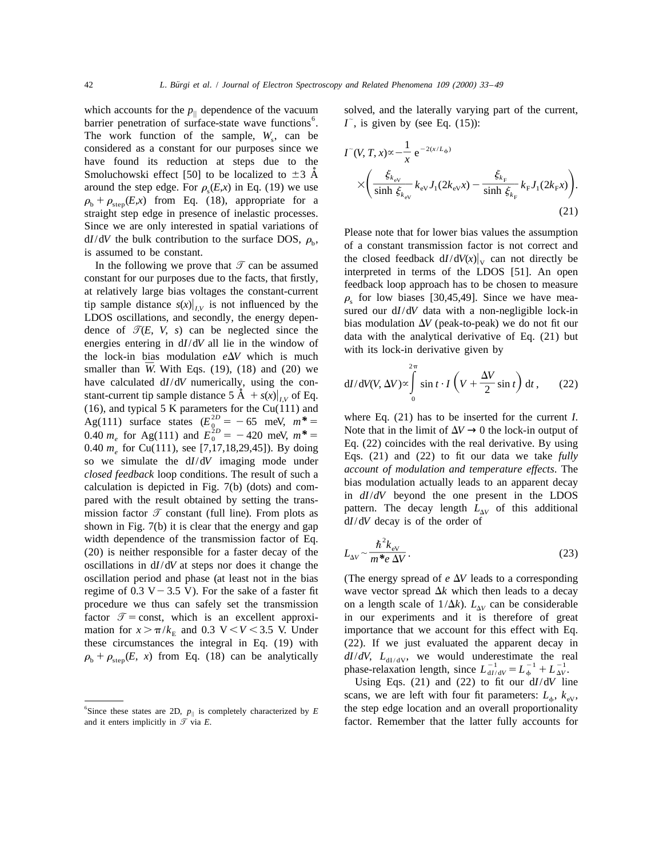which accounts for the  $p_{\parallel}$  dependence of the vacuum solved, and the laterally varying part of the current, barrier penetration of surface-state wave functions<sup>6</sup>. *I*<sup>-</sup>, is given by (see Eq. (15)): The work function of the sample,  $W_s$ , can be considered as a constant for our purposes since we have found its reduction at steps due to the Smoluchowski effect [50] to be localized to  $\pm$ 3 A around the step edge. For  $\rho_s(E,x)$  in Eq. (19) we use<br> $\rho_b + \rho_{\text{step}}(E,x)$  from Eq. (18), appropriate for a straight step edge in presence of inelastic processes.

Since we are only interested in spatial variations of<br>
is assumption<br>
is and *I/dV* the bulk contribution to the surface DOS,  $\rho_b$ ,<br>
is assumed to be constant.<br>
In the following we prove that  $\mathcal{T}$  can be assumed<br>
in t (16), and typical 5 K parameters for the Cu(111) and<br>
Ag(111) surface states ( $E_0^{2D} = -65$  meV,  $m^* =$ <br>
0.40  $m_e$  for Ag(111) and  $E_0^{2D} = -420$  meV,  $m^* =$ <br>
0.40  $m_e$  for Cu(111), see [7,17,18,29,45]). By doing<br>
so we s shown in Fig. 7(b) it is clear that the energy and gap width dependence of the transmission factor of Eq.<br>(20) is neither responsible for a faster decay of the oscillations in  $dI/dV$  at steps nor does it change the oscillation period and phase (at least not in the bias (The energy spread of  $e \Delta V$  leads to a corresponding

$$
I^{\tilde{}}(V, T, x) \propto -\frac{1}{x} e^{-2(x/L_{\phi})}
$$

$$
\times \left( \frac{\xi_{k_{\text{eV}}}}{\sinh \xi_{k_{\text{eV}}}} k_{\text{eV}} J_1(2k_{\text{eV}} x) - \frac{\xi_{k_{\text{F}}}}{\sinh \xi_{k_{\text{F}}}} k_{\text{F}} J_1(2k_{\text{F}} x) \right). \tag{21}
$$

$$
dI/dV(V, \Delta V) \propto \int_{0}^{2\pi} \sin t \cdot I \left( V + \frac{\Delta V}{2} \sin t \right) dt , \qquad (22)
$$

$$
L_{\Delta V} \sim \frac{\hbar^2 k_{\rm ev}}{m^* e \, \Delta V} \,. \tag{23}
$$

regime of 0.3 V - 3.5 V). For the sake of a faster fit wave vector spread  $\Delta k$  which then leads to a decay procedure we thus can safely set the transmission on a length scale of  $1/\Delta k$ ).  $L_{\Delta V}$  can be considerable factor  $\mathcal{T} = \text{const}$ , which is an excellent approxi- in our experiments and it is therefore of great in our experiments and it is therefore of great mation for  $x > \pi/k_F$  and 0.3 V < V < 3.5 V. Under importance that we account for this effect with Eq. these circumstances the integral in Eq. (19) with (22). If we just evaluated the apparent decay in  $\rho_b + \rho_{step}(E, x)$  from Eq. (18) can be analytically  $dI/dV$ ,  $L_{dI/dV}$ , we would underestimate the real<br>phase-relaxation length, since  $L_{dI/dV}^{-1} = L_0^{-1} + L_{\Delta V}^{-1}$ .

Using Eqs. (21) and (22) to fit our d*I*/d*V* line scans, we are left with four fit parameters:  $L_{\phi}$ ,  $k_{\text{eV}}$ , the step edge location and an overall proportionality and it enters implicitly in  $\mathcal{T}$  via  $E$ . **factor.** Remember that the latter fully accounts for

<sup>&</sup>lt;sup>6</sup>Since these states are 2D,  $p_{\parallel}$  is completely characterized by E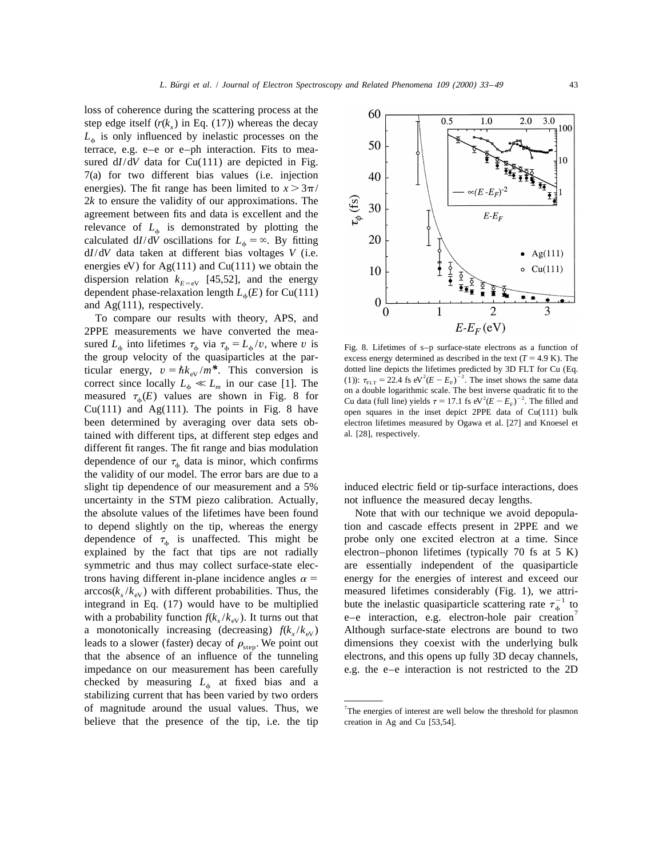loss of coherence during the scattering process at the step edge itself  $(r(k<sub>x</sub>)$  in Eq. (17)) whereas the decay  $L<sub>th</sub>$  is only influenced by inelastic processes on the terrace, e.g. e–e or e–ph interaction. Fits to measured  $dI/dV$  data for  $Cu(111)$  are depicted in Fig. 7(a) for two different bias values (i.e. injection energies). The fit range has been limited to  $x > 3\pi/$ 2*k* to ensure the validity of our approximations. The agreement between fits and data is excellent and the relevance of  $L_{\phi}$  is demonstrated by plotting the calculated  $dI/dV$  oscillations for  $L_{\phi} = \infty$ . By fitting d*I*/d*V* data taken at different bias voltages *V* (i.e. energies eV) for  $Ag(111)$  and  $Cu(111)$  we obtain the dispersion relation  $k_{E=ev}$  [45,52], and the energy dependent phase-relaxation length  $L_*(E)$  for Cu(111) and Ag(111), respectively.

To compare our results with theory, APS, and 2PPE measurements we have converted the measured  $L_{\phi}$  into lifetimes  $\tau_{\phi}$  via  $\tau_{\phi} = L_{\phi}/v$ , where *v* is Fig. 8. Lifetimes of s-p surface-state electrons as a function of the group velocity of the quasiparticles at the par-<br>excess energy determined as described in the text  $(T = 4.9 \text{ K})$ . The ticular energy,  $v = \hbar k_{\text{ev}}/m^*$ . This conversion is dotted line depicts the lifetimes predicted by 3D FLT for Cu (Eq.<br>correct since locally  $L_{\phi} \ll L_m$  in our case [1]. The (1)):  $\tau_{\text{FLT}} = 22.4$  fs eV<sup>2</sup>( $E - E_{\text{F}}$ ) been determined by averaging over data sets ob- electron lifetimes measured by Ogawa et al. [27] and Knoesel et tained with different tips, at different step edges and al. [28], respectively. different fit ranges. The fit range and bias modulation dependence of our  $\tau_{\phi}$  data is minor, which confirms the validity of our model. The error bars are due to a slight tip dependence of our measurement and a 5% induced electric field or tip-surface interactions, does uncertainty in the STM piezo calibration. Actually, not influence the measured decay lengths. the absolute values of the lifetimes have been found Note that with our technique we avoid depopulato depend slightly on the tip, whereas the energy tion and cascade effects present in 2PPE and we dependence of  $\tau_{\phi}$  is unaffected. This might be probe only one excited electron at a time. Since explained by the fact that tips are not radially electron-phonon lifetimes (typically 70 fs at 5 K) symmetric and thus may collect surface-state elec- are essentially independent of the quasiparticle trons having different in-plane incidence angles  $\alpha$  = energy for the energies of interest and exceed our  $\arccos(k_x/k_{\text{eV}})$  with different probabilities. Thus, the measured lifetimes considerably (Fig. 1), we attri-<br>integrand in Eq. (17) would have to be multiplied bute the inelastic quasiparticle scattering rate  $\tau_{\phi}^{-1}$  a monotonically increasing (decreasing)  $f(k_x / k_{\text{ev}})$  Although surface-state electrons are bound to two leads to a slower (faster) decay of  $\rho_{\text{step}}$ . We point out dimensions they coexist with the underlying bulk that the absence of an influence of the tunneling electrons, and this opens up fully 3D decay channels, impedance on our measurement has been carefully e.g. the e–e interaction is not restricted to the 2D checked by measuring  $L<sub>o</sub>$  at fixed bias and a stabilizing current that has been varied by two orders of magnitude around the usual values. Thus, we believe that the presence of the tip, i.e. the tip creation in Ag and Cu [53,54].



electron–phonon lifetimes (typically 70 fs at 5 K) e-e interaction, e.g. electron-hole pair creation electrons, and this opens up fully 3D decay channels,

60

 $7$ The energies of interest are well below the threshold for plasmon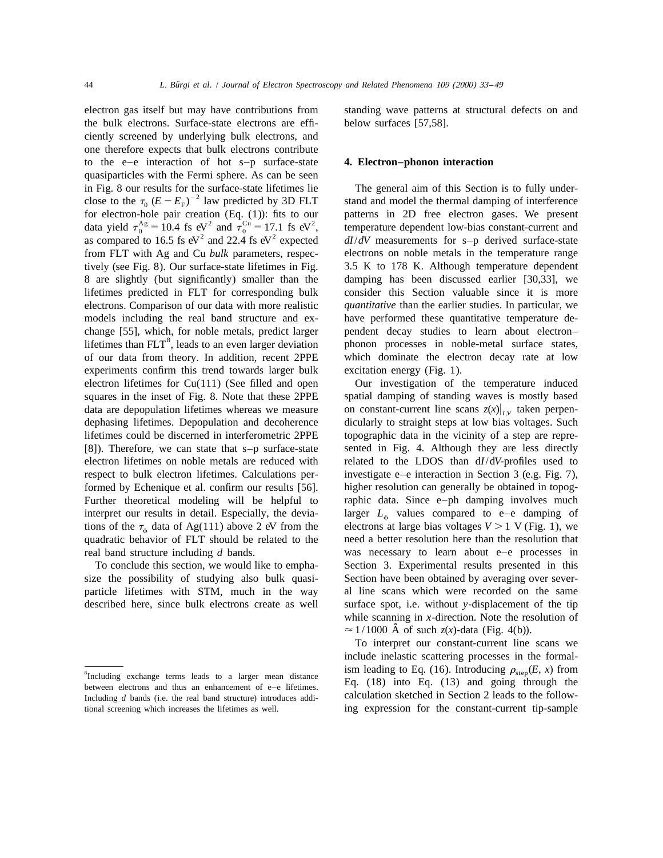the bulk electrons. Surface-state electrons are effi- below surfaces [57,58]. ciently screened by underlying bulk electrons, and one therefore expects that bulk electrons contribute to the e–e interaction of hot s–p surface-state **4. Electron–phonon interaction** quasiparticles with the Fermi sphere. As can be seen in Fig. 8 our results for the surface-state lifetimes lie The general aim of this Section is to fully under-<br>close to the  $\tau_0 (E - E_F)^{-2}$  law predicted by 3D FLT stand and model the thermal damping of interference<br>for ele for electron-hole pair creation (Eq. (1)): fits to our patterns in 2D free electron gases. We present data yield  $\tau_0^{\text{Ag}} = 10.4$  fs eV<sup>2</sup> and  $\tau_0^{\text{Cu}} = 17.1$  fs eV<sup>2</sup>, temperature dependent low-bias constant-current and as compared to 16.5 fs eV<sup>2</sup> and 22.4 fs eV<sup>2</sup> expected  $dI/dV$  measurements for s-p derived surfa from FLT with Ag and Cu *bulk* parameters, respec- electrons on noble metals in the temperature range tively (see Fig. 8). Our surface-state lifetimes in Fig. 3.5 K to 178 K. Although temperature dependent 8 are slightly (but significantly) smaller than the damping has been discussed earlier [30,33], we lifetimes predicted in FLT for corresponding bulk consider this Section valuable since it is more electrons. Comparison of our data with more realistic *quantitative* than the earlier studies. In particular, we models including the real band structure and ex-<br>have performed these quantitative temperature dechange [55], which, for noble metals, predict larger pendent decay studies to learn about electron–<br>lifetimes than FLT<sup>8</sup>, leads to an even larger deviation phonon processes in noble-metal surface states, of our data from theory. In addition, recent 2PPE which dominate the electron decay rate at low experiments confirm this trend towards larger bulk excitation energy (Fig. 1). electron lifetimes for  $Cu(111)$  (See filled and open Our investigation of the temperature induced squares in the inset of Fig. 8. Note that these 2PPE spatial damping of standing waves is mostly based data are depopulation lifetimes whereas we measure on constant-current line scans  $z(x)|_{UV}$  taken perpendephasing lifetimes. Depopulation and decoherence dicularly to straight steps at low bias voltages. Such lifetimes could be discerned in interferometric 2PPE topographic data in the vicinity of a step are repre- [8]). Therefore, we can state that s–p surface-state sented in Fig. 4. Although they are less directly electron lifetimes on noble metals are reduced with related to the LDOS than d*I*/d*V*-profiles used to respect to bulk electron lifetimes. Calculations per- investigate e–e interaction in Section 3 (e.g. Fig. 7), formed by Echenique et al. confirm our results [56]. higher resolution can generally be obtained in topog-Further theoretical modeling will be helpful to raphic data. Since e–ph damping involves much interpret our results in detail. Especially, the devia-<br>tions of the  $\tau_{\phi}$  data of Ag(111) above 2 eV from the electrons at large bias voltages  $V > 1$  V (Fig. 1), we tions of the  $\tau_{\phi}$  data of Ag(111) above 2 eV from the quadratic behavior of FLT should be related to the need a better resolution here than the resolution that real band structure including *d* bands. was necessary to learn about e–e processes in

size the possibility of studying also bulk quasi- Section have been obtained by averaging over severparticle lifetimes with STM, much in the way al line scans which were recorded on the same described here, since bulk electrons create as well surface spot, i.e. without *y*-displacement of the tip

electron gas itself but may have contributions from standing wave patterns at structural defects on and

To conclude this section, we would like to empha- Section 3. Experimental results presented in this while scanning in *x*-direction. Note the resolution of  $\approx$  1/1000 Å of such *z*(*x*)-data (Fig. 4(b)).

To interpret our constant-current line scans we include inelastic scattering processes in the formal-<sup>8</sup>Including exchange terms leads to a larger mean distance ism leading to Eq. (16). Introducing  $\rho_{step}(E, x)$  from between electrons and thus an enhancement of e-e lifetimes. Eq. (18) into Eq. (13) and going through the

Including *d* bands (i.e. the real band structure) introduces addi-<br>Calculation sketched in Section 2 leads to the followtional screening which increases the lifetimes as well. ing expression for the constant-current tip-sample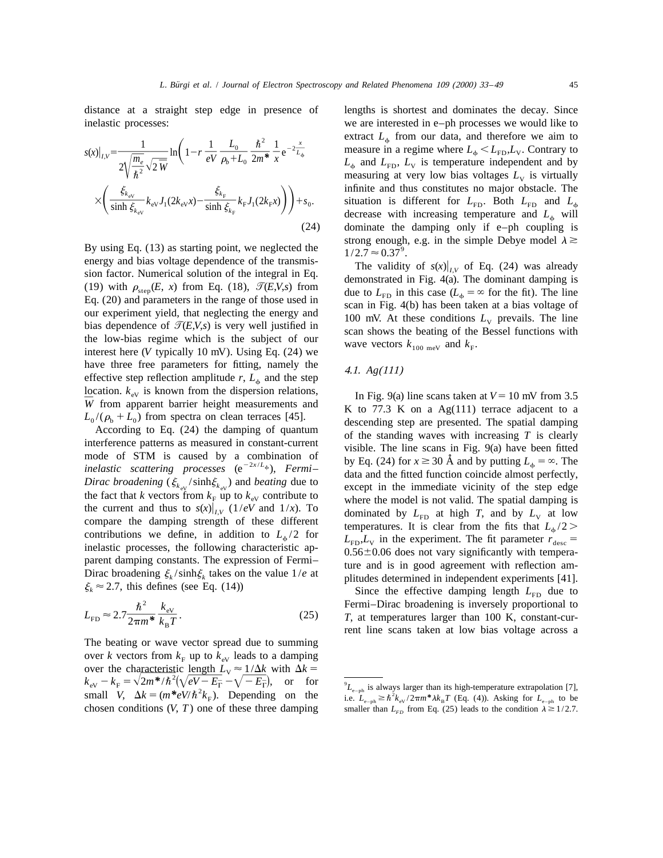distance at a straight step edge in presence of lengths is shortest and dominates the decay. Since inelastic processes: we are interested in e–ph processes we would like to

$$
s(x)|_{I,V} = \frac{1}{2\sqrt{\frac{m_e}{\hbar^2}}\sqrt{2\ \overline{W}}} \ln\left(1 - r\ \frac{1}{eV}\ \frac{L_0}{\rho_b + L_0}\ \frac{\hbar^2}{2m^*}\ \frac{1}{x} e^{-2\frac{x}{L_\phi}}\right)
$$

$$
\times \left(\frac{\xi_{k_{\text{ev}}}}{\sinh \xi_{k_{\text{ev}}}} k_{\text{ev}} J_1(2k_{\text{ev}}x) - \frac{\xi_{k_{\text{F}}}}{\sinh \xi_{k_{\text{F}}}} k_{\text{F}} J_1(2k_{\text{F}}x)\right) + s_0.
$$
\n(24)

By using Eq. (13) as starting point, we neglected the  $1/2.7 \approx 0.37^{\circ}$ .<br>energy and bias voltage dependence of the transmisenergy and bias voltage dependence of the transmis-<br>sion factor. Numerical solution of the integral in Eq.<br>(19) with  $\rho_{\text{step}}(E, x)$  from Eq. (18),  $\mathcal{T}(E, V, s)$  from<br>Eq. (20) and parameters in the range of those used in<br> have three free parameters for fitting, namely the effective step reflection amplitude *r*,  $L_{\phi}$  and the step  $4.1.$  *Ag(111)* location.  $k_{\text{eV}}$  is known from the dispersion relations,<br>
We from apparent barrier height measurements and<br>  $\overline{K}$  to 77.3 K on a Ag(111) terrace adjacent to a

the current and thus to  $s(x)|_{I,V}$  (1/*ev* and 1/*x*). To<br>compare the damping strength of these different temperatures. It is clear from the fits that  $L_{\phi}/2 >$ <br>contributions we define, in addition to  $L_{\phi}/2$  for  $I_{I}$  i contributions we define, in addition to  $L_{\phi}/2$  for<br>inelastic processes, the following characteristic ap-<br>parent damping constants. The expression of Fermi-<br>Dirac broadening  $\xi_k$ /sinh $\xi_k$  takes on the value 1/*e* at<br> $\x$ 

$$
L_{\rm FD} \approx 2.7 \frac{\hbar^2}{2\pi m^*} \frac{k_{\rm ev}}{k_{\rm B} T}.
$$
 (25)

The beating or wave vector spread due to summing over *k* vectors from  $k_F$  up to  $k_{\text{ev}}$  leads to a damping<br>over the characteristic length  $L_V \approx 1/\Delta k$  with  $\Delta k =$  $k_{\rm ev} - k_{\rm F} = \sqrt{2m^* / \hbar^2 (\sqrt{eV - E_{\rm F}} - \sqrt{-E_{\rm F}})}$ , or for  $k_{\rm L_{e-ph}}$  is always larger than its high-temperature extrapolation [7], small V,  $\Delta k = (m^* eV/\hbar^2 k_{\rm F})$ . Depending on the i.e.  $L_{e-ph} \ge \hbar^2 k_{\rm ev}/2\pi m^* \lambda k_{\$ 

extract  $L<sub>4</sub>$  from our data, and therefore we aim to measure in a regime where  $L_{\phi} < L_{FD}$ ,  $L_{V}$ . Contrary to  $L_{\phi}$  and  $L_{FD}$ ,  $L_{V}$  is temperature independent and by  $2\sqrt{\frac{m_e}{\hbar^2}}\sqrt{2 \overline{W}}^{\text{m}}$   $\left(\begin{array}{ccc} 1 & \text{'} & \text{eV} & \rho_b + L_0 & 2m^* & x \end{array}\right)$   $L_{\phi}$  and  $L_{\text{FD}}$ ,  $L_{\text{V}}$  is temperature independent and by measuring at very low bias voltages  $L_{\text{V}}$  is virtually infinite and thus constitutes no major obstacle. The situation is different for  $L_{FD}$ . Both  $L_{FD}$  and  $L_{\phi}$ decrease with increasing temperature and  $L_{\phi}$  will dominate the damping only if  $e$ –ph coupling is strong enough, e.g. in the simple Debye model  $\lambda \geq$ 

W from apparent barrier height measurements and<br>  $L_0/(\rho_b + L_0)$  from spectra on clean terraces [45].<br>
According to Eq. (24) the damping of quantum<br>
interference patterns as measured in constant-current<br>
interference patte

Since the effective damping length  $L_{FD}$  due to<br>Fermi–Dirac broadening is inversely proportional to<br>7, at temperatures larger than 100 K, constant-cur-<br>rent line scans taken at low bias voltage across a

chosen conditions (*V*, *T*) one of these three damping smaller than  $L_{FD}$  from Eq. (25) leads to the condition  $\lambda \ge 1/2.7$ .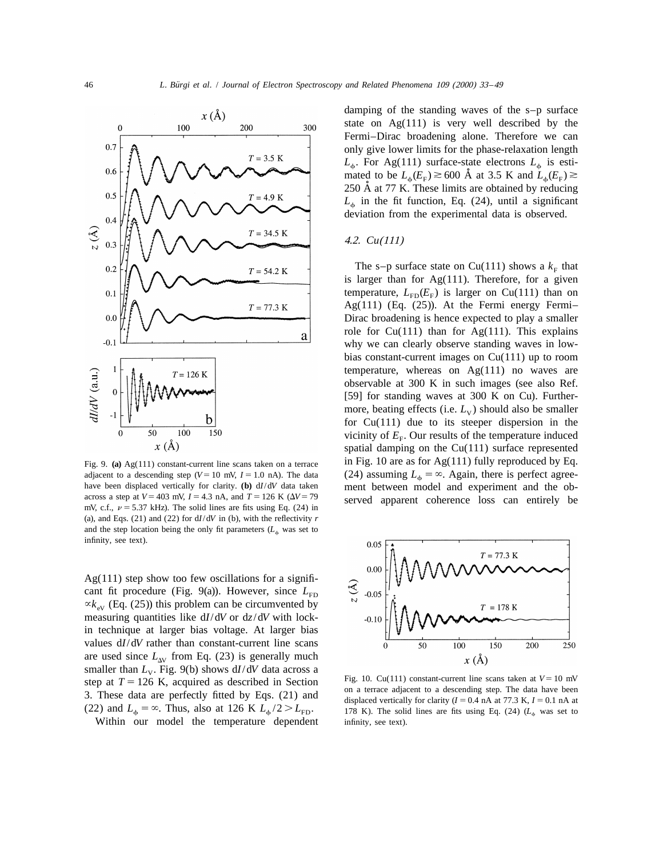

adjacent to a descending step (*V*=10 mV, *I* = 1.0 nA). The data (24) assuming  $L_{\phi} = \infty$ . Again, there is perfect agree-<br>have been displaced vertically for clarity. (b) d*I*/d*V* data taken ment between model and exper have been displaced vertically for clarity. **(b)**  $dI/dV$  data taken ment between model and experiment and the ob-<br>across a step at  $V = 403$  mV,  $I = 4.3$  nA, and  $T = 126$  K  $(\Delta V = 79$  served apparent, coharance, loss, can e across a step at  $V = 403$  mv,  $I = 4.3$  nA, and  $I = 126$  K ( $\Delta V = 79$  served apparent coherence loss can entirely be mV, c.f.,  $\nu = 5.37$  kHz). The solid lines are fits using Eq. (24) in (a), and Eqs.  $(21)$  and  $(22)$  for  $dI/dV$  in (b), with the reflectivity *r* and the step location being the only fit parameters  $(L<sub>6</sub>$  was set to infinity, see text).

 $Ag(111)$  step show too few oscillations for a significant fit procedure (Fig. 9(a)). However, since  $L_{FD}$  $\alpha k_{\rm ev}$  (Eq. (25)) this problem can be circumvented by measuring quantities like d*I*/d*V* or d*z*/d*V* with lockin technique at larger bias voltage. At larger bias values d*I*/d*V* rather than constant-current line scans are used since  $L_{\text{av}}$  from Eq. (23) is generally much smaller than  $L_{\text{v}}$ . Fig. 9(b) shows  $dI/dV$  data across a are used since  $L_{\text{av}}$  from Eq. (23) is generally much<br>
smaller than  $L_{\text{v}}$ . Fig. 9(b) shows dI/dV data across a<br>
step at  $T = 126$  K, acquired as described in Section<br>
3. These data are perfectly fitted by Eqs. (21) (22) and  $L_{\phi} = \infty$ . Thus, also at 126 K  $L_{\phi}/2 > L_{FD}$ . 178 K). The solid lines are fits using Eq. (24) ( $L_{\phi}$  was set to

Within our model the temperature dependent infinity, see text).

damping of the standing waves of the s–p surface state on Ag(111) is very well described by the Fermi–Dirac broadening alone. Therefore we can only give lower limits for the phase-relaxation length  $L_{\uparrow}$ . For Ag(111) surface-state electrons  $L_{\uparrow}$  is estimated to be  $L_{\rm a}(E_{\rm F}) \gtrsim 600$  Å at 3.5 K and  $L_{\rm a}(E_{\rm F}) \gtrsim$ 250 Å at 77 K. These limits are obtained by reducing  $L<sub>th</sub>$  in the fit function, Eq. (24), until a significant deviation from the experimental data is observed.

## 4.2. *Cu*(111)

The s–p surface state on Cu(111) shows a  $k<sub>F</sub>$  that is larger than for  $Ag(111)$ . Therefore, for a given temperature,  $L_{FD}(E_F)$  is larger on Cu(111) than on Ag(111) (Eq. (25)). At the Fermi energy Fermi– Dirac broadening is hence expected to play a smaller role for  $Cu(111)$  than for Ag(111). This explains why we can clearly observe standing waves in lowbias constant-current images on Cu(111) up to room temperature, whereas on  $Ag(111)$  no waves are observable at 300 K in such images (see also Ref. [59] for standing waves at 300 K on Cu). Furthermore, beating effects (i.e.  $L_v$ ) should also be smaller for Cu(111) due to its steeper dispersion in the vicinity of  $E<sub>F</sub>$ . Our results of the temperature induced spatial damping on the Cu(111) surface represented Fig. 9. (a) Ag(111) constant-current line scans taken on a terrace in Fig. 10 are as for Ag(111) fully reproduced by Eq.

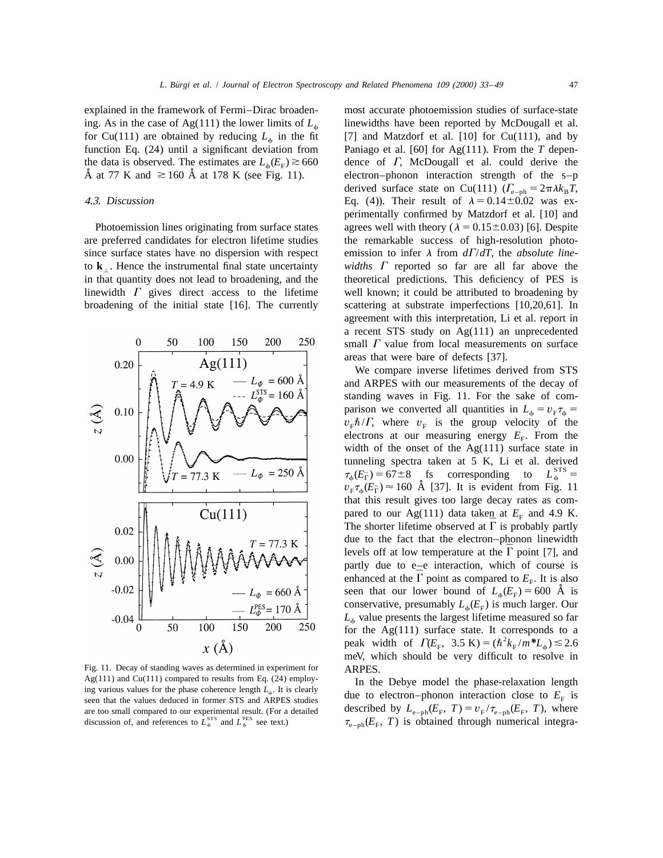explained in the framework of Fermi–Dirac broaden- most accurate photoemission studies of surface-state



Fig. 11. Decay of standing waves as determined in experiment for ARPES.<br>Ag(111) and Cu(111) compared to results from Eq. (24) employ-<br>In the are too small compared to our experimental result. (For a detailed described by  $L_{e-ph}(E_F, T) = v_F / \tau_{e-ph}(E_F, T)$ , where discussion of, and references to  $L_{\phi}^{\text{PFS}}$  and  $L_{\phi}^{\text{PES}}$  see text.)  $\tau_{e-ph}(E_F, T)$  is obtained th

ing. As in the case of Ag(111) the lower limits of  $L_{\phi}$  linewidths have been reported by McDougall et al. for Cu(111) are obtained by reducing  $L_{\phi}$  in the fit [7] and Matzdorf et al. [10] for Cu(111), and by function Eq. (24) until a significant deviation from Paniago et al. [60] for Ag(111). From the T depen-Paniago et al. [60] for Ag(111). From the  $T$  depenthe data is observed. The estimates are  $L_{\phi}(E_{\rm F}) \ge 660$  dence of  $\Gamma$ , McDougall et al. could derive the  $\AA$  at 77 K and  $\ge 160 \AA$  at 178 K (see Fig. 11). electron-phonon interaction strength of the s-p electron–phonon interaction strength of the s–p derived surface state on Cu(111)  $(\Gamma_{e-ph} = 2\pi \lambda k_B T)$ , 4.3. *Discussion* Eq. (4)). Their result of  $\lambda = 0.14 \pm 0.02$  was experimentally confirmed by Matzdorf et al. [10] and Photoemission lines originating from surface states agrees well with theory ( $\lambda = 0.15 \pm 0.03$ ) [6]. Despite are preferred candidates for electron lifetime studies the remarkable success of high-resolution photosince surface states have no dispersion with respect emission to infer  $\lambda$  from  $d\Gamma/dT$ , the *absolute line*to  $\bf{k}$ . Hence the instrumental final state uncertainty *widths*  $\Gamma$  reported so far are all far above the in that quantity does not lead to broadening, and the theoretical predictions. This deficiency of PES is linewidth  $\Gamma$  gives direct access to the lifetime well known; it could be attributed to broadening by broadening of the initial state [16]. The currently scattering at substrate imperfections [10,20,61]. In agreement with this interpretation, Li et al. report in a recent STS study on Ag(111) an unprecedented small  $\Gamma$  value from local measurements on surface areas that were bare of defects [37].

> We compare inverse lifetimes derived from STS and ARPES with our measurements of the decay of standing waves in Fig. 11. For the sake of comparison we converted all quantities in  $L_{\phi} = v_{\text{F}} \tau_{\phi} =$  $v_F \hbar / \Gamma$ , where  $v_F$  is the group velocity of the electrons at our measuring energy  $E_F$ . From the width of the onset of the  $Ag(111)$  surface state in tunneling spectra taken at 5 K, Li et al. derived  $\tau_{\phi}(E_{\Gamma}) = 67 \pm 8$  fs corresponding to  $L_{\phi}^{STS} =$  $v_{\rm F} \tau_{\rm A}(E_{\rm F}) \approx 160$  Å [37]. It is evident from Fig. 11 that this result gives too large decay rates as compared to our Ag(111) data taken at  $E_F$  and 4.9 K. The shorter lifetime observed at  $\Gamma$  is probably partly due to the fact that the electron–phonon linewidth levels off at low temperature at the  $\Gamma$  point [7], and partly due to e–e interaction, which of course is enhanced at the  $\Gamma$  point as compared to  $E_F$ . It is also seen that our lower bound of  $L_{\phi}(E_F) = 600 \text{ Å}$  is conservative, presumably  $L_{\phi}(E_{F})$  is much larger. Our  $L_{\phi}$  value presents the largest lifetime measured so far for the Ag(111) surface state. It corresponds to a for the Ag(111) surface state. It corresponds to a peak width of  $\Gamma(E_{\rm F}$ , 3.5 K) =  $(\hbar^2 k_{\rm F}/m^*L_{\phi})$   $\lesssim$  2.6 meV, which should be very difficult to resolve in

Ag(111) and Cu(111) compared to results from Eq. (24) employ-<br>ing various values for the phase coherence length  $L_{\phi}$ . It is clearly<br>seen that the values deduced in former STS and ARPES studies due to electron-phonon in  $\tau_{e-ph}(E_F, T)$  is obtained through numerical integra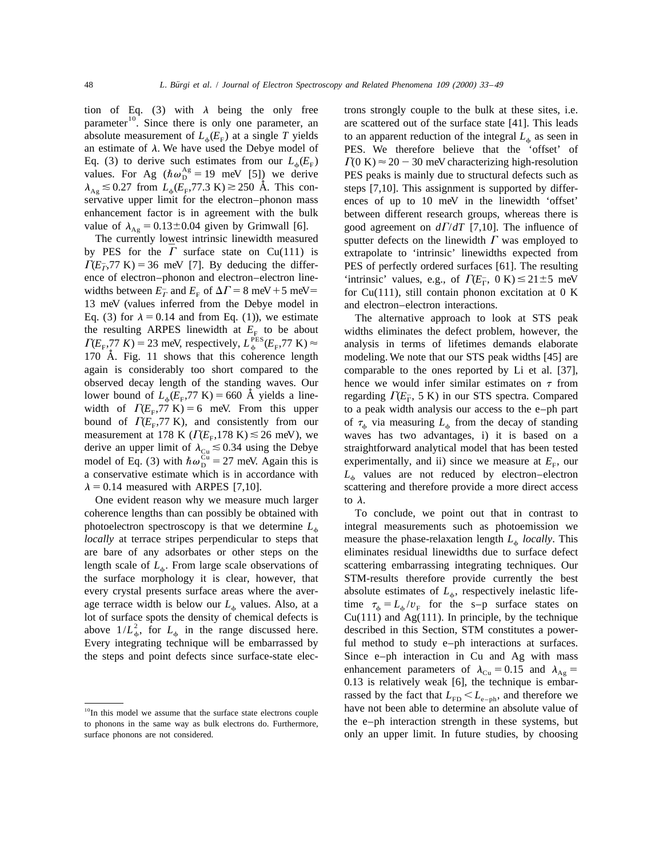tion of Eq. (3) with  $\lambda$  being the only free trons strongly couple to the bulk at these sites, i.e. parameter<sup>10</sup>. Since there is only one parameter, an are scattered out of the surface state [41]. This leads absolute measurement of  $L_{\phi}(E_F)$  at a single *T* yields to an apparent reduction of the integral  $L_{\phi}$  as seen in an estimate of  $\lambda$ . We have used the Debye model of PES. We therefore believe that the 'offset' of Eq. (3) to derive such estimates from our  $L_{\phi}(E_F)$   $\Gamma(0 \text{ K}) \approx 20 - 30 \text{ meV}$  characterizing high-resolution values. For Ag ( $\hbar \omega_p^{\text{Ag}} = 19 \text{ meV}$  [5]) we derive PES peaks is mainly due to structural defects such as  $\lambda_{\text{Ag}} \lesssim 0.27$  from  $L_{\phi}(E_{\text{F}}^2, 77.3 \text{ K}) \gtrsim 250 \text{ Å}$ . This con-steps [7,10]. This assignment is supported by differservative upper limit for the electron–phonon mass ences of up to 10 meV in the linewidth 'offset' enhancement factor is in agreement with the bulk between different research groups, whereas there is value of  $\lambda_{\text{Ag}} = 0.13 \pm 0.04$  given by Grimwall [6]. good agreement on  $d/dT$  [7,10]. The influence of

ence of electron–phonon and electron–electron line-<br>
'intrinsic' values, e.g., of  $\Gamma(E_{\Gamma}$ , 0 K)  $\leq$  21 ± 5 meV widths between  $E_T^-$  and  $E_F$  of  $\Delta\Gamma = 8$  meV + 5 meV = 13 meV (values inferred from the Debye model in and electron–electron interactions. Eq. (3) for  $\lambda = 0.14$  and from Eq. (1)), we estimate The alternative approach to look at STS peak the resulting ARPES linewidth at  $E_F$  to be about widths eliminates the defect problem, however, the  $\Gamma(E_F, 77 \text{ K}) = 23 \text{ meV}$ , respectively,  $L_{\phi}^{\text{PES}}(E_F, 77 \text{ K}) \approx$  analysis in terms of lifetimes demands elaborate 170 A. Fig. 11 shows that this coherence length *˚* modeling. We note that our STS peak widths [45] are again is considerably too short compared to the comparable to the ones reported by Li et al. [37], observed decay length of the standing waves. Our hence we would infer similar estimates on  $\tau$  from lower bound of  $L_{\phi}(E_{F}, 77 \text{ K}) = 660 \text{ Å}$  yields a line-<br>width of  $\Gamma(E_{F}, 77 \text{ K}) = 6$  meV. From this upper to a peak bound of  $\Gamma(E_{F}, 77 \text{ K})$ , and consistently from our of  $\tau_{\phi}$  via measuring  $L_{\phi}$  from the decay of standing measurement at 178 K ( $\Gamma(E_{F}, 178 \text{ K}) \le 26 \text{ meV}$ ), we waves has two advantages, i) it is based on a derive an upper limit of  $\lambda_{Cu} \le 0.34$  using the Debye straightforward analytical model that has been tested model of Eq. (3) with  $\hbar \omega_{D}^{Cu} = 27$  meV. Again this is experimentally, and ii) since we measure at *E*<sub>F</sub>, a conservative estimate which is in accordance with  $L<sub>6</sub>$  values are not reduced by electron–electron  $\lambda = 0.14$  measured with ARPES [7,10]. scattering and therefore provide a more direct access

One evident reason why we measure much larger to  $\lambda$ . coherence lengths than can possibly be obtained with To conclude, we point out that in contrast to photoelectron spectroscopy is that we determine  $L<sub>o</sub>$  integral measurements such as photoemission we *locally* at terrace stripes perpendicular to steps that measure the phase-relaxation length  $L<sub>6</sub>$  *locally*. This are bare of any adsorbates or other steps on the eliminates residual linewidths due to surface defect length scale of  $L_{\phi}$ . From large scale observations of scattering embarrassing integrating techniques. Our the surface morphology it is clear, however, that **STM**-results therefore provide currently the best every crystal presents surface areas where the aver-<br>absolute estimates of  $L_{\phi}$ , respectively inelastic lifeage terrace width is below our  $L_{\phi}$  values. Also, at a time  $\tau_{\phi} = L_{\phi}/v_F$  for the s–p surface states on lot of surface spots the density of chemical defects is  $Cu(111)$  and Ag(111). In principle, by the technique lot of surface spots the density of chemical defects is  $Cu(111)$  and Ag(111). In principle, by the technique above  $1/L<sub>ab</sub><sup>2</sup>$ , for  $L<sub>b</sub>$  in the range discussed here. described in this Section, STM constitutes a Every integrating technique will be embarrassed by ful method to study e–ph interactions at surfaces. the steps and point defects since surface-state elec- Since e–ph interaction in Cu and Ag with mass

PES. We therefore believe that the 'offset' of The currently lowest intrinsic linewidth measured sputter defects on the linewidth  $\Gamma$  was employed to by PES for the  $\Gamma$  surface state on Cu(111) is extrapolate to 'intrinsic' linewidths expected from  $\Gamma(E_F^-, 77 \text{ K}) = 36 \text{ meV}$  [7]. By deducing the differ- PES of perfectly ordered surfaces [61]. The resulting for  $Cu(111)$ , still contain phonon excitation at 0 K

> to a peak width analysis our access to the e-ph part waves has two advantages, i) it is based on a

STM-results therefore provide currently the best enhancement parameters of  $\lambda_{\text{Cu}} = 0.15$  and  $\lambda_{\text{Ag}} =$ 0.13 is relatively weak [6], the technique is embarrassed by the fact that  $L_{FD} < L_{e-ph}$ , and therefore we  $10$ In this model we assume that the surface state electrons couple have not been able to determine an absolute value of surface phonons are not considered. **only an upper limit.** In future studies, by choosing

to phonons in the same way as bulk electrons do. Furthermore, the e-ph interaction strength in these systems, but